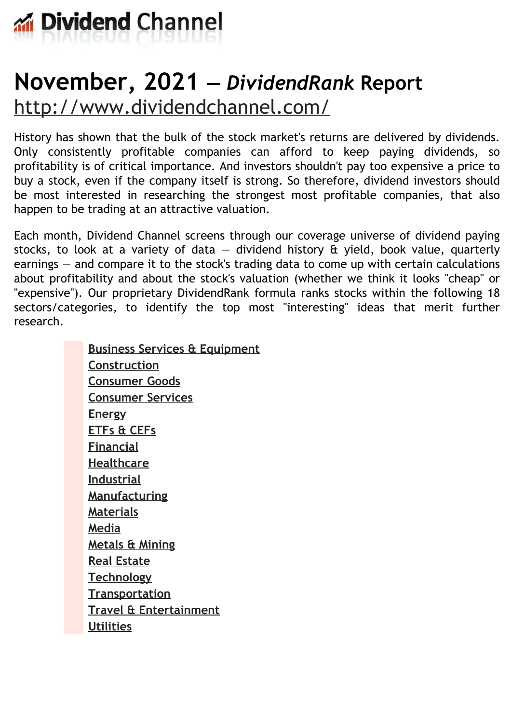

# **November, 2021 —** *DividendRank* **Report** <http://www.dividendchannel.com/>

History has shown that the bulk of the stock market's returns are delivered by dividends. Only consistently profitable companies can afford to keep paying dividends, so profitability is of critical importance. And investors shouldn't pay too expensive a price to buy a stock, even if the company itself is strong. So therefore, dividend investors should be most interested in researching the strongest most profitable companies, that also happen to be trading at an attractive valuation.

Each month, Dividend Channel screens through our coverage universe of dividend paying stocks, to look at a variety of data  $-$  dividend history  $\hat{a}$  yield, book value, quarterly earnings — and compare it to the stock's trading data to come up with certain calculations about profitability and about the stock's valuation (whether we think it looks ''cheap'' or "expensive"). Our proprietary DividendRank formula ranks stocks within the following 18 sectors/categories, to identify the top most ''interesting'' ideas that merit further research.

> **Business Services & [Equipment](file:///root/temp.html#l01) [Construction](file:///root/temp.html#l02) [Consumer](file:///root/temp.html#l03) Goods [Consumer](file:///root/temp.html#l04) Services [Energy](file:///root/temp.html#l05) [ETFs](file:///root/temp.html#l06) & CEFs [Financial](file:///root/temp.html#l07) [Healthcare](file:///root/temp.html#l08) [Industrial](file:///root/temp.html#l09) [Manufacturing](file:///root/temp.html#l10) [Materials](file:///root/temp.html#l11) [Media](file:///root/temp.html#l12) [Metals](file:///root/temp.html#l13) & Mining Real [Estate](file:///root/temp.html#l14) [Technology](file:///root/temp.html#l15) [Transportation](file:///root/temp.html#l16) Travel & [Entertainment](file:///root/temp.html#l17) [Utilities](file:///root/temp.html#l18)**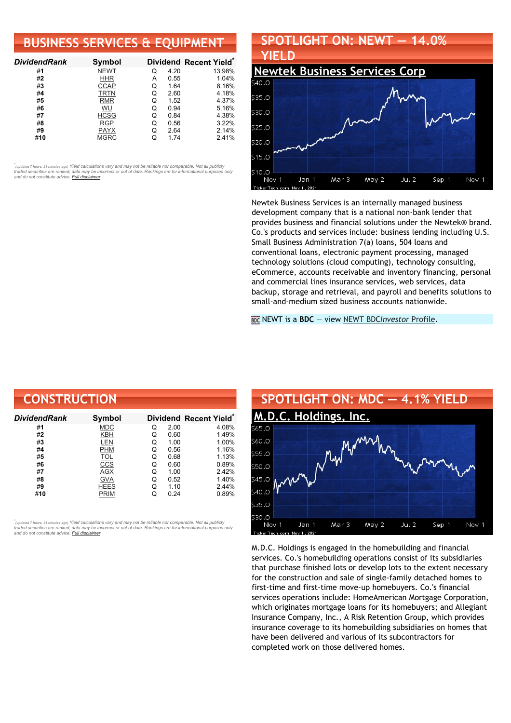### **BUSINESS SERVICES & EQUIPMENT**

| <b>DividendRank</b> | Symbol      |   |      | Dividend Recent Yield* |
|---------------------|-------------|---|------|------------------------|
| #1                  | <b>NEWT</b> | Q | 4.20 | 13.98%                 |
| #2                  | HHR         | А | 0.55 | 1.04%                  |
| #3                  | <b>CCAP</b> | Q | 1.64 | 8.16%                  |
| #4                  | TRTN        | Q | 2.60 | 4.18%                  |
| #5                  | <b>RMR</b>  | Q | 1.52 | 4.37%                  |
| #6                  | WU          | Q | 0.94 | 5.16%                  |
| #7                  | <b>HCSG</b> | Q | 0.84 | 4.38%                  |
| #8                  | <b>RGP</b>  | Q | 0.56 | 3.22%                  |
| #9                  | <b>PAYX</b> | Q | 2.64 | 2.14%                  |
| #10                 | <b>MGRC</b> |   | 1.74 | 2.41%                  |

•<br>"<sub>(updated 7 hours, 21 minutes ago) Yield calculations vary and may not be reliable nor comparable. Not all publicly<br>traded securities are ranked; data may be incorrect or out of date. Rankings are for informational purp</sub> *and do not constitute advice. Full [disclaimer](https://www.dividendchannel.com/disclaimer/)*

## **SPOTLIGHT ON: NEWT — 14.0% YIELD**



Newtek Business Services is an internally managed business development company that is a national non-bank lender that provides business and financial solutions under the Newtek® brand. Co.'s products and services include: business lending including U.S. Small Business Administration 7(a) loans, 504 loans and conventional loans, electronic payment processing, managed technology solutions (cloud computing), technology consulting, eCommerce, accounts receivable and inventory financing, personal and commercial lines insurance services, web services, data backup, storage and retrieval, and payroll and benefits solutions to small-and-medium sized business accounts nationwide.

NEWT is a **BDC** — view NEWT BDC*[Investor](https://www.bdcinvestor.com/newt/)* Profile.

| <b>CONSTRUCTION</b> |             |   |      |                                    |  |
|---------------------|-------------|---|------|------------------------------------|--|
| DividendRank        | Symbol      |   |      | Dividend Recent Yield <sup>®</sup> |  |
| #1                  | <b>MDC</b>  | Q | 2.00 | 4.08%                              |  |
| #2                  | KBH         | Q | 0.60 | 1.49%                              |  |
| #3                  | LEN         | Q | 1.00 | 1.00%                              |  |
| #4                  | <b>PHM</b>  | Q | 0.56 | 1.16%                              |  |
| #5                  | <b>TOL</b>  | Q | 0.68 | 1.13%                              |  |
| #6                  | CCS         | Q | 0.60 | 0.89%                              |  |
| #7                  | AGX         | Q | 1.00 | 2.42%                              |  |
| #8                  | <b>GVA</b>  | Q | 0.52 | 1.40%                              |  |
| #9                  | <b>HEES</b> | Q | 1.10 | 2.44%                              |  |
| #10                 | <b>PRIM</b> | Q | 0.24 | 0.89%                              |  |

*\** ated 7 hours, 21 minutes ago) Yield calculations vary and may not be reliable nor comparable. Not all publicly traded securities are ranked; data may be incorrect or out of date. Rankings are for informational purposes only *and do not constitute advice. Full [disclaimer](https://www.dividendchannel.com/disclaimer/)*



M.D.C. Holdings is engaged in the homebuilding and financial services. Co.'s homebuilding operations consist of its subsidiaries that purchase finished lots or develop lots to the extent necessary for the construction and sale of single-family detached homes to first-time and first-time move-up homebuyers. Co.'s financial services operations include: HomeAmerican Mortgage Corporation, which originates mortgage loans for its homebuyers; and Allegiant Insurance Company, Inc., A Risk Retention Group, which provides insurance coverage to its homebuilding subsidiaries on homes that have been delivered and various of its subcontractors for completed work on those delivered homes.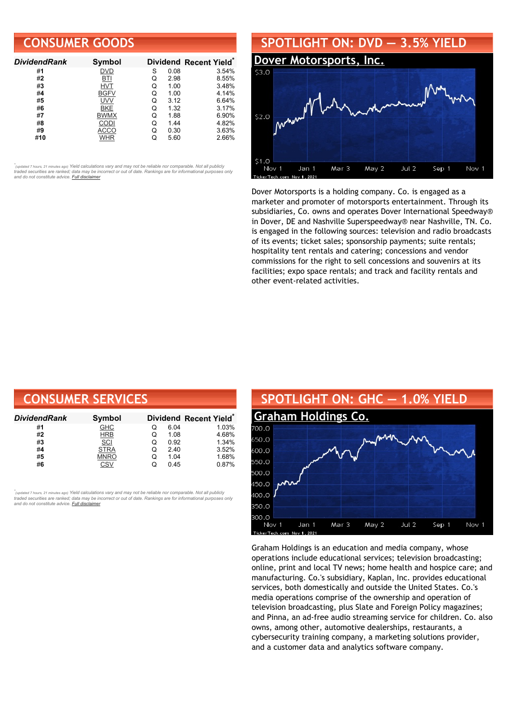### **CONSUMER GOODS**

| <b>DividendRank</b> | <b>Symbol</b> |   |      | Dividend Recent Yield* |
|---------------------|---------------|---|------|------------------------|
| #1                  | <b>DVD</b>    | S | 0.08 | 3.54%                  |
| #2                  | BTI           | Q | 2.98 | 8.55%                  |
| #3                  | <b>HVT</b>    | Q | 1.00 | 3.48%                  |
| #4                  | <b>BGFV</b>   | Q | 1.00 | 4.14%                  |
| #5                  | <b>UVV</b>    | Q | 3.12 | 6.64%                  |
| #6                  | BKE           | O | 1.32 | 3.17%                  |
| #7                  | <b>BWMX</b>   | Q | 1.88 | 6.90%                  |
| #8                  | CODI          | Q | 1.44 | 4.82%                  |
| #9                  | ACCO          | Q | 0.30 | 3.63%                  |
| #10                 | WHR           |   | 5.60 | 2.66%                  |

•<br>"<sub>(updated 7 hours, 21 minutes ago) Yield calculations vary and may not be reliable nor comparable. Not all publicly<br>traded securities are ranked; data may be incorrect or out of date. Rankings are for informational purp</sub> *and do not constitute advice. Full [disclaimer](https://www.dividendchannel.com/disclaimer/)*

### **SPOTLIGHT ON: DVD — 3.5% YIELD**



Dover Motorsports is a holding company. Co. is engaged as a marketer and promoter of motorsports entertainment. Through its subsidiaries, Co. owns and operates Dover International Speedway® in Dover, DE and Nashville Superspeedway® near Nashville, TN. Co. is engaged in the following sources: television and radio broadcasts of its events; ticket sales; sponsorship payments; suite rentals; hospitality tent rentals and catering; concessions and vendor commissions for the right to sell concessions and souvenirs at its facilities; expo space rentals; and track and facility rentals and other event-related activities.

| <b>CONSUMER SERVICES</b> |             |   |      |                        |  |  |
|--------------------------|-------------|---|------|------------------------|--|--|
| DividendRank             | Symbol      |   |      | Dividend Recent Yield* |  |  |
| #1                       | <b>GHC</b>  | O | 6.04 | 1.03%                  |  |  |
| #2                       | <b>HRB</b>  | Q | 1.08 | 4.68%                  |  |  |
| #3                       | SCI         | Q | 0.92 | 1.34%                  |  |  |
| #4                       | <b>STRA</b> | Q | 2.40 | 3.52%                  |  |  |
| #5                       | <b>MNRO</b> | Q | 1.04 | 1.68%                  |  |  |
| #6                       | CSV         | Q | 0.45 | 0.87%                  |  |  |

,<br>"<sub>(updated 7 hours, 21 minutes ago) Yield calculations vary and may not be reliable nor comparable. Not all publicly<br>traded securities are ranked; data may be incorrect or out of date. Rankings are for informational purp</sub> *and do not constitute advice. Full [disclaimer](https://www.dividendchannel.com/disclaimer/)*



Graham Holdings is an education and media company, whose operations include educational services; television broadcasting; online, print and local TV news; home health and hospice care; and manufacturing. Co.'s subsidiary, Kaplan, Inc. provides educational services, both domestically and outside the United States. Co.'s media operations comprise of the ownership and operation of television broadcasting, plus Slate and Foreign Policy magazines; and Pinna, an ad-free audio streaming service for children. Co. also owns, among other, automotive dealerships, restaurants, a cybersecurity training company, a marketing solutions provider, and a customer data and analytics software company.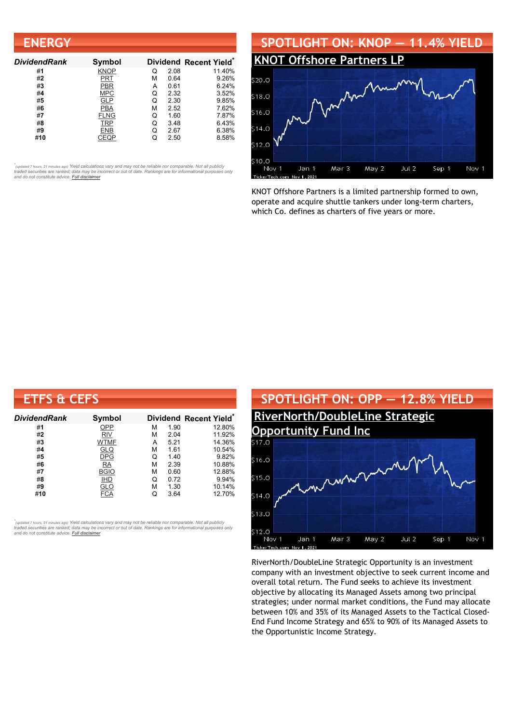| <b>ENERGY</b>       |             |   |      |                        |
|---------------------|-------------|---|------|------------------------|
| <b>DividendRank</b> | Symbol      |   |      | Dividend Recent Yield* |
| #1                  | <b>KNOP</b> | Q | 2.08 | 11.40%                 |
| #2                  | PRT         | м | 0.64 | 9.26%                  |
| #3                  | PBR         | A | 0.61 | 6.24%                  |
| #4                  | <b>MPC</b>  | Q | 2.32 | 3.52%                  |
| #5                  | <b>GLP</b>  | Q | 2.30 | 9.85%                  |
| #6                  | <b>PBA</b>  | м | 2.52 | 7.62%                  |
| #7                  | <b>FLNG</b> | Q | 1.60 | 7.87%                  |
| #8                  | TRP         | Q | 3.48 | 6.43%                  |
| #9                  | <b>ENB</b>  | Q | 2.67 | 6.38%                  |
| #10                 | CEQP        |   | 2.50 | 8.58%                  |



KNOT Offshore Partners is a limited partnership formed to own, operate and acquire shuttle tankers under long-term charters, which Co. defines as charters of five years or more.

| <b>ETFS &amp; CEFS</b> |               |   |      |                        |
|------------------------|---------------|---|------|------------------------|
| <b>DividendRank</b>    | <b>Symbol</b> |   |      | Dividend Recent Yield* |
| #1                     | OPP           | М | 1.90 | 12.80%                 |
| #2                     | <b>RIV</b>    | м | 2.04 | 11.92%                 |
| #3                     | <b>WTMF</b>   | A | 5.21 | 14.36%                 |
| #4                     | <u>GLQ</u>    | М | 1.61 | 10.54%                 |
| #5                     | <b>DPG</b>    | Q | 1.40 | 9.82%                  |
| #6                     | <b>RA</b>     | М | 2.39 | 10.88%                 |
| #7                     | <b>BGIO</b>   | М | 0.60 | 12.88%                 |
| #8                     | <b>IHD</b>    | Q | 0.72 | 9.94%                  |
| #9                     | <b>GLO</b>    | М | 1.30 | 10.14%                 |
| #10                    | FCA           | Q | 3.64 | 12.70%                 |

้<sub>(updated 7 hours, 21 minutes ago) Yield calculations vary and may not be reliable nor comparable. Not all publicly<br>traded securities are ranked; data may be incorrect or out of date. Rankings are for informational purpo</sub>



RiverNorth/DoubleLine Strategic Opportunity is an investment company with an investment objective to seek current income and overall total return. The Fund seeks to achieve its investment objective by allocating its Managed Assets among two principal strategies; under normal market conditions, the Fund may allocate between 10% and 35% of its Managed Assets to the Tactical Closed-End Fund Income Strategy and 65% to 90% of its Managed Assets to the Opportunistic Income Strategy.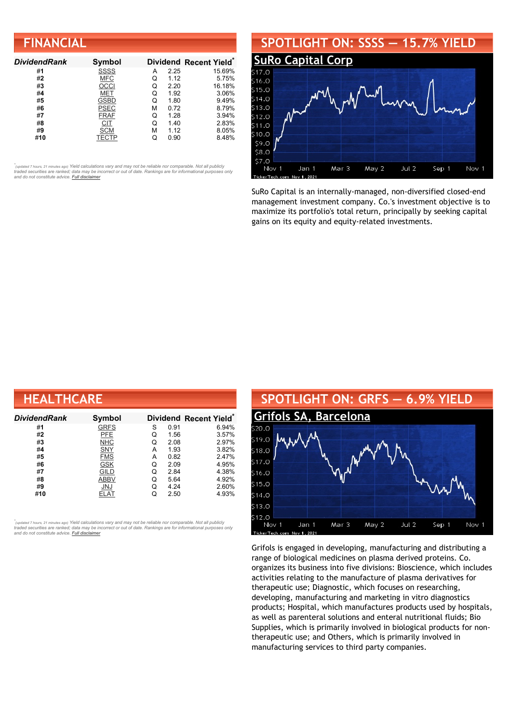### **FINANCIAL**

| <b>DividendRank</b> | Symbol      |   |      | Dividend Recent Yield* |
|---------------------|-------------|---|------|------------------------|
| #1                  | <b>SSSS</b> | А | 2.25 | 15.69%                 |
| #2                  | <b>MFC</b>  | Q | 1.12 | 5.75%                  |
| #3                  | OCCI        | Q | 2.20 | 16.18%                 |
| #4                  | MET         | Q | 1.92 | 3.06%                  |
| #5                  | <b>GSBD</b> | Q | 1.80 | 9.49%                  |
| #6                  | <b>PSEC</b> | м | 0.72 | 8.79%                  |
| #7                  | <b>FRAF</b> | Q | 1.28 | 3.94%                  |
| #8                  | CIT         | Q | 1.40 | 2.83%                  |
| #9                  | <b>SCM</b>  | м | 1.12 | 8.05%                  |
| #10                 | TECTP       |   | 0.90 | 8.48%                  |

•<br>"<sub>(updated 7 hours, 21 minutes ago) Yield calculations vary and may not be reliable nor comparable. Not all publicly<br>traded securities are ranked; data may be incorrect or out of date. Rankings are for informational purp</sub> *and do not constitute advice. Full [disclaimer](https://www.dividendchannel.com/disclaimer/)*

#### **SPOTLIGHT ON: SSSS — 15.7% YIELD SuRo [Capital](http://www.dividendchannel.com/symbol/ssss/) Corp** \$16.0  $$15.0$  $514.0$  $5130$ \$12.0  $$11.0$ \$10.0 \$9.0 \$8.0 \$7.0 Jan 1 Mar 3 May 2  $Jul<sub>2</sub>$ Sep 1 Nov 1 Nov<sub>1</sub> 202

SuRo Capital is an internally-managed, non-diversified closed-end management investment company. Co.'s investment objective is to maximize its portfolio's total return, principally by seeking capital gains on its equity and equity-related investments.

| <b>HEALTHCARE</b>   |             |   |      |                                    |  |  |
|---------------------|-------------|---|------|------------------------------------|--|--|
| <b>DividendRank</b> | Symbol      |   |      | Dividend Recent Yield <sup>®</sup> |  |  |
| #1                  | <b>GRFS</b> | S | 0.91 | 6.94%                              |  |  |
| #2                  | PFE         | Q | 1.56 | 3.57%                              |  |  |
| #3                  | <b>NHC</b>  | Q | 2.08 | 2.97%                              |  |  |
| #4                  | SNY         | А | 1.93 | 3.82%                              |  |  |
| #5                  | <b>FMS</b>  | А | 0.82 | 2.47%                              |  |  |
| #6                  | <b>GSK</b>  | Q | 2.09 | 4.95%                              |  |  |
| #7                  | GILD        | Q | 2.84 | 4.38%                              |  |  |
| #8                  | <b>ABBV</b> | Q | 5.64 | 4.92%                              |  |  |
| #9                  | JNJ         | Q | 4.24 | 2.60%                              |  |  |
| #10                 | ELAT        | Q | 2.50 | 4.93%                              |  |  |

้<sub>(updated 7 hours, 21 minutes ago) Yield calculations vary and may not be reliable nor comparable. Not all publicly<br>traded securities are ranked; data may be incorrect or out of date. Rankings are for informational purpo</sub>



Grifols is engaged in developing, manufacturing and distributing a range of biological medicines on plasma derived proteins. Co. organizes its business into five divisions: Bioscience, which includes activities relating to the manufacture of plasma derivatives for therapeutic use; Diagnostic, which focuses on researching, developing, manufacturing and marketing in vitro diagnostics products; Hospital, which manufactures products used by hospitals, as well as parenteral solutions and enteral nutritional fluids; Bio Supplies, which is primarily involved in biological products for nontherapeutic use; and Others, which is primarily involved in manufacturing services to third party companies.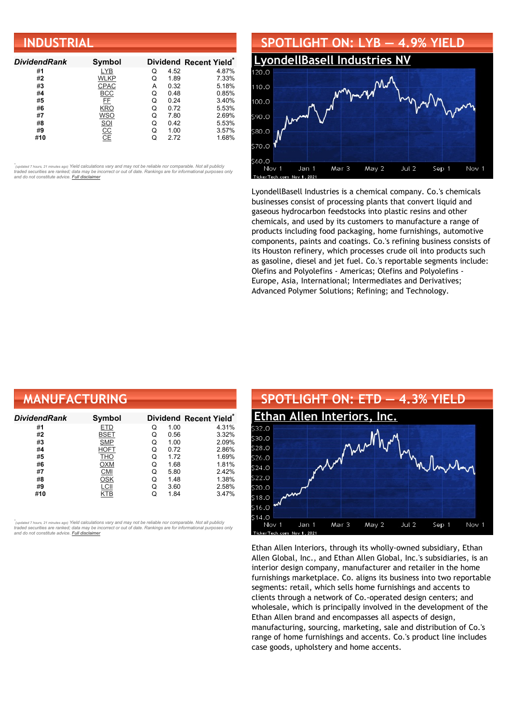| <b>INDUSTRIAL</b>   |                  |   |      |                                    |  |  |
|---------------------|------------------|---|------|------------------------------------|--|--|
| <b>DividendRank</b> | Symbol           |   |      | Dividend Recent Yield <sup>*</sup> |  |  |
| #1                  | <b>LYB</b>       | Q | 4.52 | 4.87%                              |  |  |
| #2                  | WLKP             | Q | 1.89 | 7.33%                              |  |  |
| #3                  | <b>CPAC</b>      | А | 0.32 | 5.18%                              |  |  |
| #4                  | $rac{BCC}{FE}$   | Q | 0.48 | 0.85%                              |  |  |
| #5                  |                  | Q | 0.24 | 3.40%                              |  |  |
| #6                  | <b>KRO</b>       | Q | 0.72 | 5.53%                              |  |  |
| #7                  | <b>WSO</b>       | Q | 7.80 | 2.69%                              |  |  |
| #8                  |                  | Q | 0.42 | 5.53%                              |  |  |
| #9                  | $\frac{SOI}{CC}$ | Q | 1.00 | 3.57%                              |  |  |
| #10                 |                  | Q | 2.72 | 1.68%                              |  |  |



LyondellBasell Industries is a chemical company. Co.'s chemicals businesses consist of processing plants that convert liquid and gaseous hydrocarbon feedstocks into plastic resins and other chemicals, and used by its customers to manufacture a range of products including food packaging, home furnishings, automotive components, paints and coatings. Co.'s refining business consists of its Houston refinery, which processes crude oil into products such as gasoline, diesel and jet fuel. Co.'s reportable segments include: Olefins and Polyolefins - Americas; Olefins and Polyolefins - Europe, Asia, International; Intermediates and Derivatives; Advanced Polymer Solutions; Refining; and Technology.

| <b>MANUFACTURING</b> |             |   |      |                                    |  |  |
|----------------------|-------------|---|------|------------------------------------|--|--|
| DividendRank         | Symbol      |   |      | Dividend Recent Yield <sup>®</sup> |  |  |
| #1                   | <b>ETD</b>  | Q | 1.00 | 4.31%                              |  |  |
| #2                   | BSET        | Q | 0.56 | 3.32%                              |  |  |
| #3                   | <b>SMP</b>  | Q | 1.00 | 2.09%                              |  |  |
| #4                   | <b>HOFT</b> | Q | 0.72 | 2.86%                              |  |  |
| #5                   | THO         | Q | 1.72 | 1.69%                              |  |  |
| #6                   | <b>OXM</b>  | Q | 1.68 | 1.81%                              |  |  |
| #7                   | <b>CMI</b>  | Q | 5.80 | 2.42%                              |  |  |
| #8                   | OSK         | Q | 1.48 | 1.38%                              |  |  |
| #9                   | LCII        | Q | 3.60 | 2.58%                              |  |  |
| #10                  | KTB         | Q | 1.84 | 3.47%                              |  |  |

*\** ated 7 hours, 21 minutes ago) Yield calculations vary and may not be reliable nor comparable. Not all publicly traded securities are ranked; data may be incorrect or out of date. Rankings are for informational purposes only *and do not constitute advice. Full [disclaimer](https://www.dividendchannel.com/disclaimer/)*



Ethan Allen Interiors, through its wholly-owned subsidiary, Ethan Allen Global, Inc., and Ethan Allen Global, Inc.'s subsidiaries, is an interior design company, manufacturer and retailer in the home furnishings marketplace. Co. aligns its business into two reportable segments: retail, which sells home furnishings and accents to clients through a network of Co.-operated design centers; and wholesale, which is principally involved in the development of the Ethan Allen brand and encompasses all aspects of design, manufacturing, sourcing, marketing, sale and distribution of Co.'s range of home furnishings and accents. Co.'s product line includes case goods, upholstery and home accents.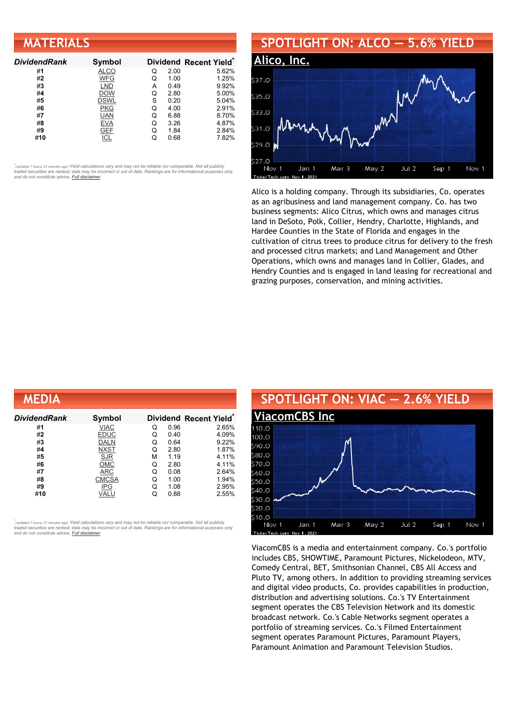| <b>MATERIALS</b>    |             |   |      |                        |  |  |
|---------------------|-------------|---|------|------------------------|--|--|
| <b>DividendRank</b> | Symbol      |   |      | Dividend Recent Yield* |  |  |
| #1                  | <b>ALCO</b> | Q | 2.00 | 5.62%                  |  |  |
| #2                  | WFG         | Q | 1.00 | 1.25%                  |  |  |
| #3                  | <b>LND</b>  | А | 0.49 | 9.92%                  |  |  |
| #4                  | <b>DOW</b>  | Q | 2.80 | 5.00%                  |  |  |
| #5                  | <b>DSWL</b> | S | 0.20 | 5.04%                  |  |  |
| #6                  | PKG         | Q | 4.00 | 2.91%                  |  |  |
| #7                  | <b>UAN</b>  | Q | 6.88 | 8.70%                  |  |  |
| #8                  | <b>EVA</b>  | Q | 3.26 | 4.87%                  |  |  |
| #9                  | <b>GEF</b>  | Q | 1.84 | 2.84%                  |  |  |
| #10                 | ICL         | Q | 0.68 | 7.82%                  |  |  |

#### **SPOTLIGHT ON: ALCO — 5.6% YIELD [Alico,](http://www.dividendchannel.com/symbol/alco/) Inc.** \$37.0 535.0 css u \$31.0  $29.0$  $\overline{2}$  $\epsilon$ Mar 3 May 2 Jul 2 Sep 1 Nov 1 Nov Jan 1

Alico is a holding company. Through its subsidiaries, Co. operates as an agribusiness and land management company. Co. has two business segments: Alico Citrus, which owns and manages citrus land in DeSoto, Polk, Collier, Hendry, Charlotte, Highlands, and Hardee Counties in the State of Florida and engages in the cultivation of citrus trees to produce citrus for delivery to the fresh and processed citrus markets; and Land Management and Other Operations, which owns and manages land in Collier, Glades, and Hendry Counties and is engaged in land leasing for recreational and grazing purposes, conservation, and mining activities.

| MEDIA        |              |   |      |                        |
|--------------|--------------|---|------|------------------------|
| DividendRank | Symbol       |   |      | Dividend Recent Yield* |
| #1           | <b>VIAC</b>  | Q | 0.96 | 2.65%                  |
| #2           | <b>EDUC</b>  | Q | 0.40 | 4.09%                  |
| #3           | <b>DALN</b>  | Q | 0.64 | 9.22%                  |
| #4           | <b>NXST</b>  | Q | 2.80 | 1.87%                  |
| #5           | <b>SJR</b>   | М | 1.19 | 4.11%                  |
| #6           | <b>OMC</b>   | Q | 2.80 | 4.11%                  |
| #7           | ARC          | Q | 0.08 | 2.64%                  |
| #8           | <b>CMCSA</b> | Q | 1.00 | 1.94%                  |
| #9           | <b>IPG</b>   | Q | 1.08 | 2.95%                  |
| #10          | VALU         | Q | 0.88 | 2.55%                  |

*\** ated 7 hours, 21 minutes ago) Yield calculations vary and may not be reliable nor comparable. Not all publicly traded securities are ranked; data may be incorrect or out of date. Rankings are for informational purposes only *and do not constitute advice. Full [disclaimer](https://www.dividendchannel.com/disclaimer/)*



ViacomCBS is a media and entertainment company. Co.'s portfolio includes CBS, SHOWTIME, Paramount Pictures, Nickelodeon, MTV, Comedy Central, BET, Smithsonian Channel, CBS All Access and Pluto TV, among others. In addition to providing streaming services and digital video products, Co. provides capabilities in production, distribution and advertising solutions. Co.'s TV Entertainment segment operates the CBS Television Network and its domestic broadcast network. Co.'s Cable Networks segment operates a portfolio of streaming services. Co.'s Filmed Entertainment segment operates Paramount Pictures, Paramount Players, Paramount Animation and Paramount Television Studios.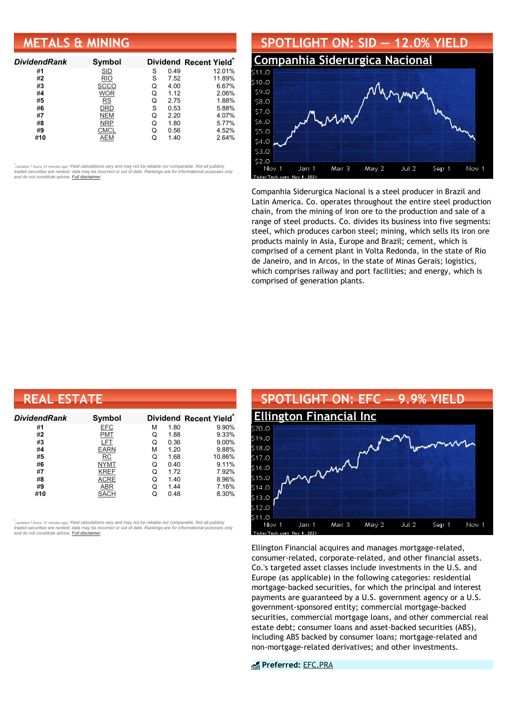### **METALS & MINING**

| <b>DividendRank</b> | Symbol      |   |      | Dividend Recent Yield* |
|---------------------|-------------|---|------|------------------------|
| #1                  | <b>SID</b>  | S | 0.49 | 12.01%                 |
| #2                  | <b>RIO</b>  | S | 7.52 | 11.89%                 |
| #3                  | <b>SCCO</b> | Q | 4.00 | 6.67%                  |
| #4                  | <b>WOR</b>  | Q | 1.12 | 2.06%                  |
| #5                  | <b>RS</b>   | Q | 2.75 | 1.88%                  |
| #6                  | DRD         | S | 0.53 | 5.88%                  |
| #7                  | <b>NEM</b>  | Q | 2.20 | 4.07%                  |
| #8                  | <b>NRP</b>  | Q | 1.80 | 5.77%                  |
| #9                  | CMCL        | Q | 0.56 | 4.52%                  |
| #10                 | AEM         |   | 1.40 | 2.64%                  |

•<br>"<sub>(updated 7 hours, 21 minutes ago) Yield calculations vary and may not be reliable nor comparable. Not all publicly<br>traded securities are ranked; data may be incorrect or out of date. Rankings are for informational purp</sub> *and do not constitute advice. Full [disclaimer](https://www.dividendchannel.com/disclaimer/)*



Companhia Siderurgica Nacional is a steel producer in Brazil and Latin America. Co. operates throughout the entire steel production chain, from the mining of iron ore to the production and sale of a range of steel products. Co. divides its business into five segments: steel, which produces carbon steel; mining, which sells its iron ore products mainly in Asia, Europe and Brazil; cement, which is comprised of a cement plant in Volta Redonda, in the state of Rio de Janeiro, and in Arcos, in the state of Minas Gerais; logistics, which comprises railway and port facilities; and energy, which is comprised of generation plants.

| <b>REAL ESTATE</b> |             |   |      |                                    |  |  |
|--------------------|-------------|---|------|------------------------------------|--|--|
| DividendRank       | Symbol      |   |      | Dividend Recent Yield <sup>®</sup> |  |  |
| #1                 | <b>EFC</b>  | М | 1.80 | 9.90%                              |  |  |
| #2                 | <b>PMT</b>  | Q | 1.88 | 9.33%                              |  |  |
| #3                 | <b>LFT</b>  | Q | 0.36 | $9.00\%$                           |  |  |
| #4                 | <b>EARN</b> | М | 1.20 | 9.88%                              |  |  |
| #5                 | RC          | Q | 1.68 | 10.86%                             |  |  |
| #6                 | <b>NYMT</b> | Q | 0.40 | 9.11%                              |  |  |
| #7                 | <b>KREF</b> | Q | 1.72 | 7.92%                              |  |  |
| #8                 | ACRE        | Q | 1.40 | 8.96%                              |  |  |
| #9                 | ABR         | Q | 1.44 | 7.16%                              |  |  |
| #10                | SACH        | Q | 0.48 | 8.30%                              |  |  |

*\** ated 7 hours, 21 minutes ago) Yield calculations vary and may not be reliable nor comparable. Not all publicly traded securities are ranked; data may be incorrect or out of date. Rankings are for informational purposes only *and do not constitute advice. Full [disclaimer](https://www.dividendchannel.com/disclaimer/)*



Ellington Financial acquires and manages mortgage-related, consumer-related, corporate-related, and other financial assets. Co.'s targeted asset classes include investments in the U.S. and Europe (as applicable) in the following categories: residential mortgage-backed securities, for which the principal and interest payments are guaranteed by a U.S. government agency or a U.S. government-sponsored entity; commercial mortgage-backed securities, commercial mortgage loans, and other commercial real estate debt; consumer loans and asset-backed securities (ABS), including ABS backed by consumer loans; mortgage-related and non-mortgage-related derivatives; and other investments.

**Preferred:** [EFC.PRA](https://www.preferredstockchannel.com/symbol/efc.pra/)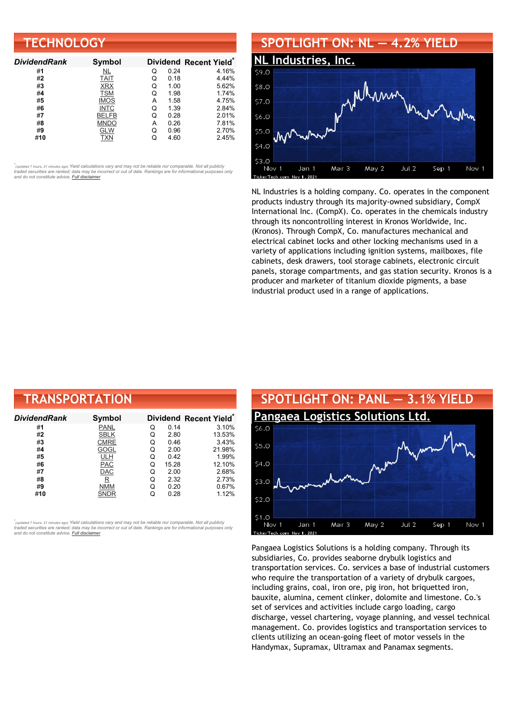| <b>TECHNOLOGY</b>   |              |   |      |                                    |  |
|---------------------|--------------|---|------|------------------------------------|--|
| <b>DividendRank</b> | Symbol       |   |      | Dividend Recent Yield <sup>®</sup> |  |
| #1                  | NL           | Q | 0.24 | 4.16%                              |  |
| #2                  | <b>TAIT</b>  | Q | 0.18 | 4.44%                              |  |
| #3                  | <b>XRX</b>   | Q | 1.00 | 5.62%                              |  |
| #4                  | <b>TSM</b>   | Q | 1.98 | 1.74%                              |  |
| #5                  | <b>IMOS</b>  | А | 1.58 | 4.75%                              |  |
| #6                  | <b>INTC</b>  | Q | 1.39 | 2.84%                              |  |
| #7                  | <b>BELFB</b> | Q | 0.28 | 2.01%                              |  |
| #8                  | <b>MNDO</b>  | А | 0.26 | 7.81%                              |  |
| #9                  | <b>GLW</b>   | Q | 0.96 | 2.70%                              |  |
| #10                 | <b>TXN</b>   | Q | 4.60 | 2.45%                              |  |

### **SPOTLIGHT ON: NL — 4.2% YIELD**



NL Industries is a holding company. Co. operates in the component products industry through its majority-owned subsidiary, CompX International Inc. (CompX). Co. operates in the chemicals industry through its noncontrolling interest in Kronos Worldwide, Inc. (Kronos). Through CompX, Co. manufactures mechanical and electrical cabinet locks and other locking mechanisms used in a variety of applications including ignition systems, mailboxes, file cabinets, desk drawers, tool storage cabinets, electronic circuit panels, storage compartments, and gas station security. Kronos is a producer and marketer of titanium dioxide pigments, a base industrial product used in a range of applications.

| <b>TRANSPORTATION</b> |                         |   |       |                        |  |  |
|-----------------------|-------------------------|---|-------|------------------------|--|--|
| DividendRank          | Symbol                  |   |       | Dividend Recent Yield* |  |  |
| #1                    | PANL                    | Q | 0.14  | 3.10%                  |  |  |
| #2                    | <b>SBLK</b>             | Q | 2.80  | 13.53%                 |  |  |
| #3                    | <b>CMRE</b>             | Q | 0.46  | 3.43%                  |  |  |
| #4                    | GOGL                    | Q | 2.00  | 21.98%                 |  |  |
| #5                    | <b>ULH</b>              | Q | 0.42  | 1.99%                  |  |  |
| #6                    | <b>PAC</b>              | Q | 15.28 | 12.10%                 |  |  |
| #7                    | <b>DAC</b>              | Q | 2.00  | 2.68%                  |  |  |
| #8                    | $\overline{\mathbf{R}}$ | Q | 2.32  | 2.73%                  |  |  |
| #9                    | <b>NMM</b>              | Q | 0.20  | 0.67%                  |  |  |
| #10                   | <b>SNDR</b>             | Q | 0.28  | 1.12%                  |  |  |

*\** ated 7 hours, 21 minutes ago) Yield calculations vary and may not be reliable nor comparable. Not all publicly traded securities are ranked; data may be incorrect or out of date. Rankings are for informational purposes only *and do not constitute advice. Full [disclaimer](https://www.dividendchannel.com/disclaimer/)*



Pangaea Logistics Solutions is a holding company. Through its subsidiaries, Co. provides seaborne drybulk logistics and transportation services. Co. services a base of industrial customers who require the transportation of a variety of drybulk cargoes, including grains, coal, iron ore, pig iron, hot briquetted iron, bauxite, alumina, cement clinker, dolomite and limestone. Co.'s set of services and activities include cargo loading, cargo discharge, vessel chartering, voyage planning, and vessel technical management. Co. provides logistics and transportation services to clients utilizing an ocean-going fleet of motor vessels in the Handymax, Supramax, Ultramax and Panamax segments.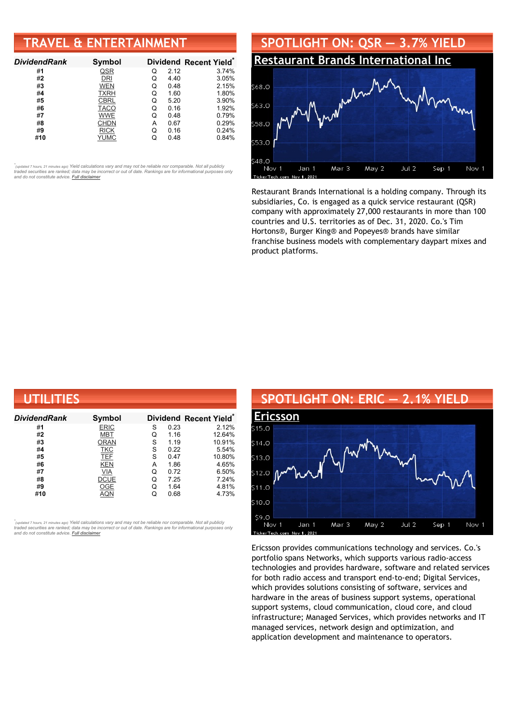### **TRAVEL & ENTERTAINMENT**

| <b>DividendRank</b> | Symbol      |   |      | Dividend Recent Yield* |
|---------------------|-------------|---|------|------------------------|
| #1                  | QSR         | Q | 2.12 | 3.74%                  |
| #2                  | DRI         | Q | 4.40 | 3.05%                  |
| #3                  | <b>WEN</b>  | Q | 0.48 | 2.15%                  |
| #4                  | <b>TXRH</b> | Q | 1.60 | 1.80%                  |
| #5                  | <b>CBRL</b> | Q | 5.20 | 3.90%                  |
| #6                  | <b>TACO</b> | Q | 0.16 | 1.92%                  |
| #7                  | <b>WWE</b>  | Q | 0.48 | 0.79%                  |
| #8                  | <b>CHDN</b> | А | 0.67 | 0.29%                  |
| #9                  | <b>RICK</b> | Q | 0.16 | 0.24%                  |
| #10                 | YUMC        |   | 0.48 | 0.84%                  |

•<br>"<sub>(updated 7 hours, 21 minutes ago) Yield calculations vary and may not be reliable nor comparable. Not all publicly<br>traded securities are ranked; data may be incorrect or out of date. Rankings are for informational purp</sub> *and do not constitute advice. Full [disclaimer](https://www.dividendchannel.com/disclaimer/)*



Restaurant Brands International is a holding company. Through its subsidiaries, Co. is engaged as a quick service restaurant (QSR) company with approximately 27,000 restaurants in more than 100 countries and U.S. territories as of Dec. 31, 2020. Co.'s Tim Hortons®, Burger King® and Popeyes® brands have similar franchise business models with complementary daypart mixes and product platforms.

| UTILITIES           |             |   |      |                        |  |  |
|---------------------|-------------|---|------|------------------------|--|--|
| <b>DividendRank</b> | Symbol      |   |      | Dividend Recent Yield* |  |  |
| #1                  | <b>ERIC</b> | S | 0.23 | 2.12%                  |  |  |
| #2                  | MBT         | Q | 1.16 | 12.64%                 |  |  |
| #3                  | <b>ORAN</b> | S | 1.19 | 10.91%                 |  |  |
| #4                  | <b>TKC</b>  | S | 0.22 | 5.54%                  |  |  |
| #5                  | <b>TEF</b>  | S | 0.47 | 10.80%                 |  |  |
| #6                  | <b>KEN</b>  | A | 1.86 | 4.65%                  |  |  |
| #7                  | VIA         | Q | 0.72 | 6.50%                  |  |  |
| #8                  | <b>DCUE</b> | Q | 7.25 | 7.24%                  |  |  |
| #9                  | OGE         | Q | 1.64 | 4.81%                  |  |  |
| #10                 | AQN         | Q | 0.68 | 4.73%                  |  |  |

,<br>"<sub>(updated 7 hours, 21 minutes ago) Yield calculations vary and may not be reliable nor comparable. Not all publicly<br>traded securities are ranked; data may be incorrect or out of date. Rankings are for informational purp</sub> *and do not constitute advice. Full [disclaimer](https://www.dividendchannel.com/disclaimer/)*



Ericsson provides communications technology and services. Co.'s portfolio spans Networks, which supports various radio-access technologies and provides hardware, software and related services for both radio access and transport end-to-end; Digital Services, which provides solutions consisting of software, services and hardware in the areas of business support systems, operational support systems, cloud communication, cloud core, and cloud infrastructure; Managed Services, which provides networks and IT managed services, network design and optimization, and application development and maintenance to operators.